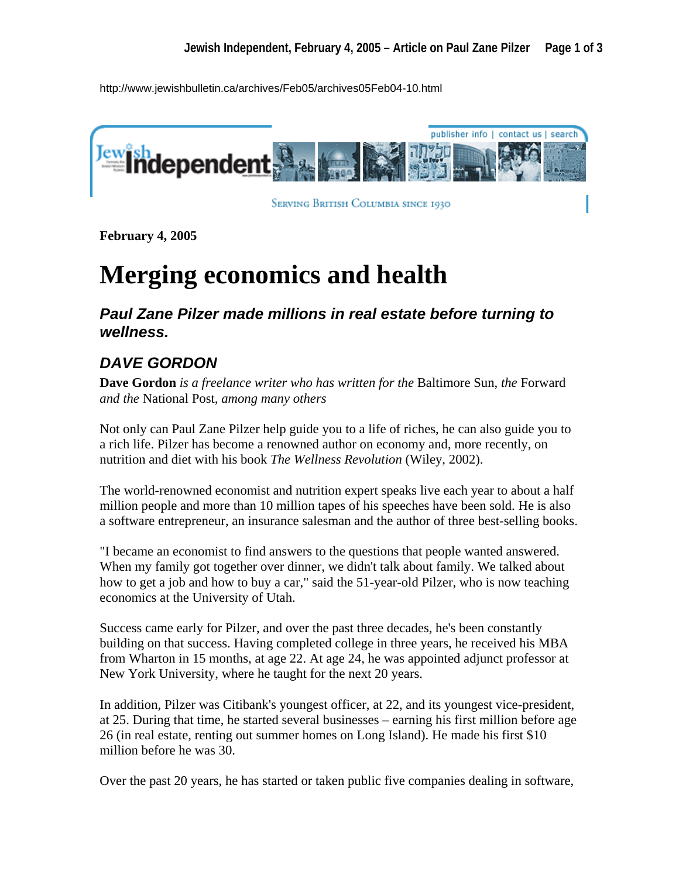http://www.jewishbulletin.ca/archives/Feb05/archives05Feb04-10.html



**SERVING BRITISH COLUMBIA SINCE 1930** 

**February 4, 2005** 

## **Merging economics and health**

*Paul Zane Pilzer made millions in real estate before turning to wellness.* 

## *DAVE GORDON*

**Dave Gordon** *is a freelance writer who has written for the* Baltimore Sun, *the* Forward *and the* National Post*, among many others* 

Not only can Paul Zane Pilzer help guide you to a life of riches, he can also guide you to a rich life. Pilzer has become a renowned author on economy and, more recently, on nutrition and diet with his book *The Wellness Revolution* (Wiley, 2002).

The world-renowned economist and nutrition expert speaks live each year to about a half million people and more than 10 million tapes of his speeches have been sold. He is also a software entrepreneur, an insurance salesman and the author of three best-selling books.

"I became an economist to find answers to the questions that people wanted answered. When my family got together over dinner, we didn't talk about family. We talked about how to get a job and how to buy a car," said the 51-year-old Pilzer, who is now teaching economics at the University of Utah.

Success came early for Pilzer, and over the past three decades, he's been constantly building on that success. Having completed college in three years, he received his MBA from Wharton in 15 months, at age 22. At age 24, he was appointed adjunct professor at New York University, where he taught for the next 20 years.

In addition, Pilzer was Citibank's youngest officer, at 22, and its youngest vice-president, at 25. During that time, he started several businesses – earning his first million before age 26 (in real estate, renting out summer homes on Long Island). He made his first \$10 million before he was 30.

Over the past 20 years, he has started or taken public five companies dealing in software,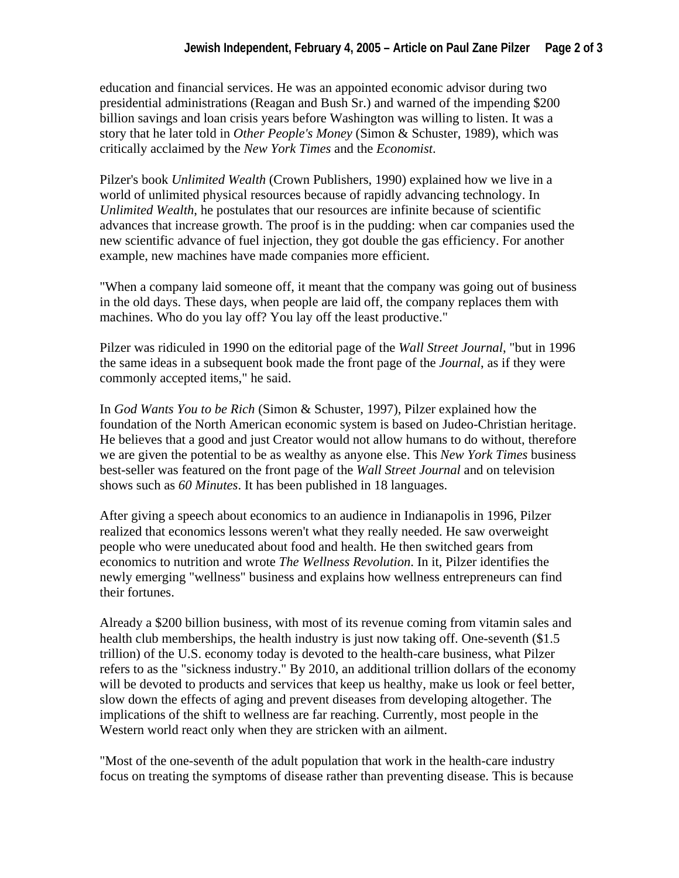education and financial services. He was an appointed economic advisor during two presidential administrations (Reagan and Bush Sr.) and warned of the impending \$200 billion savings and loan crisis years before Washington was willing to listen. It was a story that he later told in *Other People's Money* (Simon & Schuster, 1989), which was critically acclaimed by the *New York Times* and the *Economist*.

Pilzer's book *Unlimited Wealth* (Crown Publishers, 1990) explained how we live in a world of unlimited physical resources because of rapidly advancing technology. In *Unlimited Wealth*, he postulates that our resources are infinite because of scientific advances that increase growth. The proof is in the pudding: when car companies used the new scientific advance of fuel injection, they got double the gas efficiency. For another example, new machines have made companies more efficient.

"When a company laid someone off, it meant that the company was going out of business in the old days. These days, when people are laid off, the company replaces them with machines. Who do you lay off? You lay off the least productive."

Pilzer was ridiculed in 1990 on the editorial page of the *Wall Street Journal*, "but in 1996 the same ideas in a subsequent book made the front page of the *Journal*, as if they were commonly accepted items," he said.

In *God Wants You to be Rich* (Simon & Schuster, 1997), Pilzer explained how the foundation of the North American economic system is based on Judeo-Christian heritage. He believes that a good and just Creator would not allow humans to do without, therefore we are given the potential to be as wealthy as anyone else. This *New York Times* business best-seller was featured on the front page of the *Wall Street Journal* and on television shows such as *60 Minutes*. It has been published in 18 languages.

After giving a speech about economics to an audience in Indianapolis in 1996, Pilzer realized that economics lessons weren't what they really needed. He saw overweight people who were uneducated about food and health. He then switched gears from economics to nutrition and wrote *The Wellness Revolution*. In it, Pilzer identifies the newly emerging "wellness" business and explains how wellness entrepreneurs can find their fortunes.

Already a \$200 billion business, with most of its revenue coming from vitamin sales and health club memberships, the health industry is just now taking off. One-seventh (\$1.5) trillion) of the U.S. economy today is devoted to the health-care business, what Pilzer refers to as the "sickness industry." By 2010, an additional trillion dollars of the economy will be devoted to products and services that keep us healthy, make us look or feel better, slow down the effects of aging and prevent diseases from developing altogether. The implications of the shift to wellness are far reaching. Currently, most people in the Western world react only when they are stricken with an ailment.

"Most of the one-seventh of the adult population that work in the health-care industry focus on treating the symptoms of disease rather than preventing disease. This is because